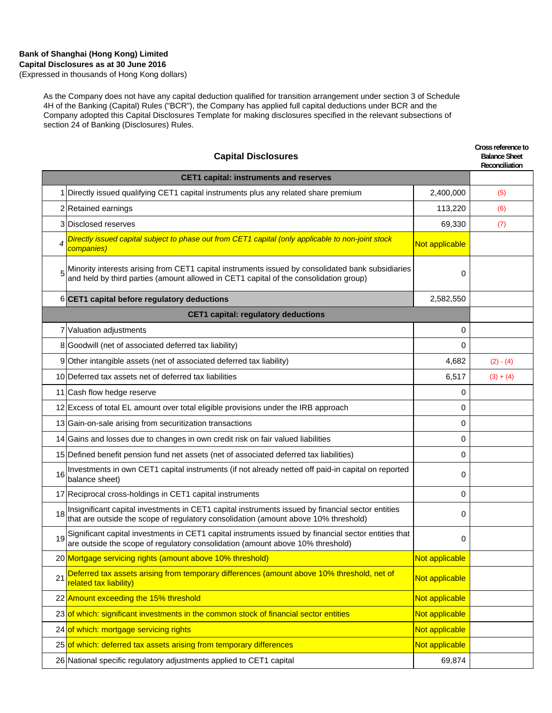(Expressed in thousands of Hong Kong dollars)

As the Company does not have any capital deduction qualified for transition arrangement under section 3 of Schedule 4H of the Banking (Capital) Rules ("BCR"), the Company has applied full capital deductions under BCR and the Company adopted this Capital Disclosures Template for making disclosures specified in the relevant subsections of section 24 of Banking (Disclosures) Rules.

| <b>Capital Disclosures</b>                    |                                                                                                                                                                                            |                | Cross reference to<br><b>Balance Sheet</b><br>Reconciliation |
|-----------------------------------------------|--------------------------------------------------------------------------------------------------------------------------------------------------------------------------------------------|----------------|--------------------------------------------------------------|
| <b>CET1 capital: instruments and reserves</b> |                                                                                                                                                                                            |                |                                                              |
|                                               | 1 Directly issued qualifying CET1 capital instruments plus any related share premium                                                                                                       | 2,400,000      | (5)                                                          |
|                                               | 2 Retained earnings                                                                                                                                                                        | 113,220        | (6)                                                          |
|                                               | 3 Disclosed reserves                                                                                                                                                                       | 69,330         | (7)                                                          |
| 4                                             | Directly issued capital subject to phase out from CET1 capital (only applicable to non-joint stock<br>companies)                                                                           | Not applicable |                                                              |
|                                               | Minority interests arising from CET1 capital instruments issued by consolidated bank subsidiaries<br>and held by third parties (amount allowed in CET1 capital of the consolidation group) | 0              |                                                              |
|                                               | 6 CET1 capital before regulatory deductions                                                                                                                                                | 2,582,550      |                                                              |
|                                               | <b>CET1 capital: regulatory deductions</b>                                                                                                                                                 |                |                                                              |
|                                               | 7 Valuation adjustments                                                                                                                                                                    | 0              |                                                              |
|                                               | 8 Goodwill (net of associated deferred tax liability)                                                                                                                                      | 0              |                                                              |
| 9                                             | Other intangible assets (net of associated deferred tax liability)                                                                                                                         | 4,682          | $(2) - (4)$                                                  |
|                                               | 10 Deferred tax assets net of deferred tax liabilities                                                                                                                                     | 6,517          | $(3) + (4)$                                                  |
|                                               | 11 Cash flow hedge reserve                                                                                                                                                                 | 0              |                                                              |
|                                               | 12 Excess of total EL amount over total eligible provisions under the IRB approach                                                                                                         | 0              |                                                              |
|                                               | 13 Gain-on-sale arising from securitization transactions                                                                                                                                   | 0              |                                                              |
|                                               | 14 Gains and losses due to changes in own credit risk on fair valued liabilities                                                                                                           | 0              |                                                              |
|                                               | 15 Defined benefit pension fund net assets (net of associated deferred tax liabilities)                                                                                                    | 0              |                                                              |
| 16                                            | Investments in own CET1 capital instruments (if not already netted off paid-in capital on reported<br>balance sheet)                                                                       | 0              |                                                              |
|                                               | 17 Reciprocal cross-holdings in CET1 capital instruments                                                                                                                                   | 0              |                                                              |
| 18                                            | Insignificant capital investments in CET1 capital instruments issued by financial sector entities<br>that are outside the scope of regulatory consolidation (amount above 10% threshold)   | 0              |                                                              |
|                                               | Significant capital investments in CET1 capital instruments issued by financial sector entities that<br>are outside the scope of regulatory consolidation (amount above 10% threshold)     | 0              |                                                              |
|                                               | 20 Mortgage servicing rights (amount above 10% threshold)                                                                                                                                  | Not applicable |                                                              |
| 21                                            | Deferred tax assets arising from temporary differences (amount above 10% threshold, net of<br>related tax liability)                                                                       | Not applicable |                                                              |
|                                               | 22 Amount exceeding the 15% threshold                                                                                                                                                      | Not applicable |                                                              |
|                                               | 23 of which: significant investments in the common stock of financial sector entities                                                                                                      | Not applicable |                                                              |
|                                               | 24 of which: mortgage servicing rights                                                                                                                                                     | Not applicable |                                                              |
|                                               | 25 of which: deferred tax assets arising from temporary differences                                                                                                                        | Not applicable |                                                              |
|                                               | 26 National specific regulatory adjustments applied to CET1 capital                                                                                                                        | 69,874         |                                                              |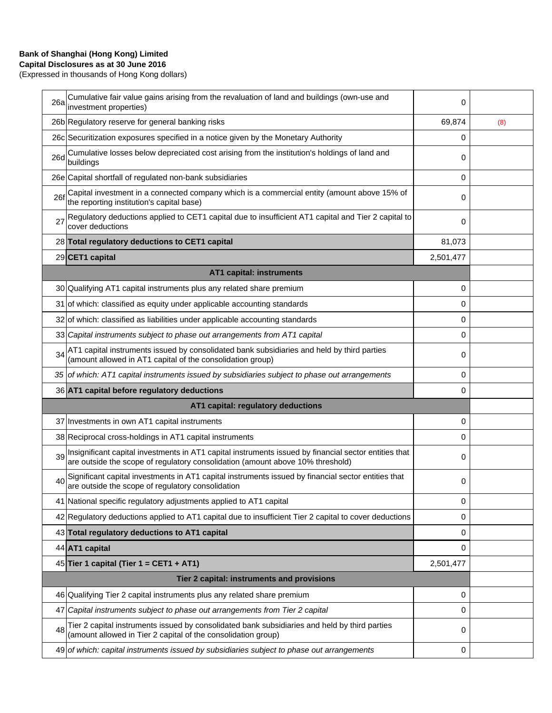(Expressed in thousands of Hong Kong dollars)

| 26a                                        | Cumulative fair value gains arising from the revaluation of land and buildings (own-use and<br>investment properties)                                                                   | 0         |     |
|--------------------------------------------|-----------------------------------------------------------------------------------------------------------------------------------------------------------------------------------------|-----------|-----|
|                                            | 26b Regulatory reserve for general banking risks                                                                                                                                        | 69,874    | (8) |
|                                            | 26c Securitization exposures specified in a notice given by the Monetary Authority                                                                                                      | 0         |     |
| 26d                                        | Cumulative losses below depreciated cost arising from the institution's holdings of land and<br>buildings                                                                               | 0         |     |
|                                            | 26e Capital shortfall of regulated non-bank subsidiaries                                                                                                                                | 0         |     |
| 26f                                        | Capital investment in a connected company which is a commercial entity (amount above 15% of<br>the reporting institution's capital base)                                                | 0         |     |
| 27                                         | Regulatory deductions applied to CET1 capital due to insufficient AT1 capital and Tier 2 capital to<br>cover deductions                                                                 | 0         |     |
|                                            | 28 Total regulatory deductions to CET1 capital                                                                                                                                          | 81,073    |     |
|                                            | 29 CET1 capital                                                                                                                                                                         | 2,501,477 |     |
|                                            | <b>AT1 capital: instruments</b>                                                                                                                                                         |           |     |
|                                            | 30 Qualifying AT1 capital instruments plus any related share premium                                                                                                                    | 0         |     |
|                                            | 31 of which: classified as equity under applicable accounting standards                                                                                                                 | 0         |     |
|                                            | 32 of which: classified as liabilities under applicable accounting standards                                                                                                            | 0         |     |
|                                            | 33 Capital instruments subject to phase out arrangements from AT1 capital                                                                                                               | 0         |     |
| 34                                         | AT1 capital instruments issued by consolidated bank subsidiaries and held by third parties<br>(amount allowed in AT1 capital of the consolidation group)                                | 0         |     |
|                                            | 35 of which: AT1 capital instruments issued by subsidiaries subject to phase out arrangements                                                                                           | 0         |     |
|                                            | 36 AT1 capital before regulatory deductions                                                                                                                                             | 0         |     |
|                                            | AT1 capital: regulatory deductions                                                                                                                                                      |           |     |
|                                            | 37 Investments in own AT1 capital instruments                                                                                                                                           | 0         |     |
|                                            | 38 Reciprocal cross-holdings in AT1 capital instruments                                                                                                                                 | 0         |     |
| 39                                         | Insignificant capital investments in AT1 capital instruments issued by financial sector entities that<br>are outside the scope of regulatory consolidation (amount above 10% threshold) | 0         |     |
| 40                                         | Significant capital investments in AT1 capital instruments issued by financial sector entities that<br>are outside the scope of regulatory consolidation                                | 0         |     |
|                                            | 41 National specific regulatory adjustments applied to AT1 capital                                                                                                                      | 0         |     |
|                                            | 42 Regulatory deductions applied to AT1 capital due to insufficient Tier 2 capital to cover deductions                                                                                  | 0         |     |
|                                            | 43 Total regulatory deductions to AT1 capital                                                                                                                                           | 0         |     |
|                                            | 44 AT1 capital                                                                                                                                                                          | 0         |     |
|                                            | 45 Tier 1 capital (Tier 1 = CET1 + AT1)                                                                                                                                                 | 2,501,477 |     |
| Tier 2 capital: instruments and provisions |                                                                                                                                                                                         |           |     |
|                                            | 46 Qualifying Tier 2 capital instruments plus any related share premium                                                                                                                 | 0         |     |
| 47                                         | Capital instruments subject to phase out arrangements from Tier 2 capital                                                                                                               | 0         |     |
| 48                                         | Tier 2 capital instruments issued by consolidated bank subsidiaries and held by third parties<br>(amount allowed in Tier 2 capital of the consolidation group)                          | 0         |     |
|                                            | 49 of which: capital instruments issued by subsidiaries subject to phase out arrangements                                                                                               | 0         |     |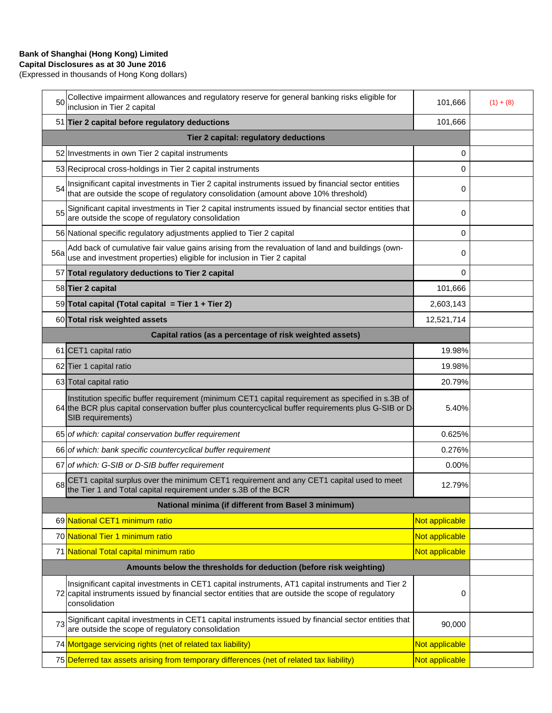(Expressed in thousands of Hong Kong dollars)

| 50                                                                 | Collective impairment allowances and regulatory reserve for general banking risks eligible for<br>inclusion in Tier 2 capital                                                                                                  | 101,666        | $(1) + (8)$ |
|--------------------------------------------------------------------|--------------------------------------------------------------------------------------------------------------------------------------------------------------------------------------------------------------------------------|----------------|-------------|
|                                                                    | 51 Tier 2 capital before regulatory deductions                                                                                                                                                                                 | 101,666        |             |
|                                                                    | Tier 2 capital: regulatory deductions                                                                                                                                                                                          |                |             |
|                                                                    | 52 Investments in own Tier 2 capital instruments                                                                                                                                                                               | 0              |             |
|                                                                    | 53 Reciprocal cross-holdings in Tier 2 capital instruments                                                                                                                                                                     | 0              |             |
| 54                                                                 | Insignificant capital investments in Tier 2 capital instruments issued by financial sector entities<br>that are outside the scope of regulatory consolidation (amount above 10% threshold)                                     | 0              |             |
| 55                                                                 | Significant capital investments in Tier 2 capital instruments issued by financial sector entities that<br>are outside the scope of regulatory consolidation                                                                    | 0              |             |
|                                                                    | 56 National specific regulatory adjustments applied to Tier 2 capital                                                                                                                                                          | 0              |             |
| 56a                                                                | Add back of cumulative fair value gains arising from the revaluation of land and buildings (own-<br>use and investment properties) eligible for inclusion in Tier 2 capital                                                    | $\Omega$       |             |
|                                                                    | 57 Total regulatory deductions to Tier 2 capital                                                                                                                                                                               | 0              |             |
|                                                                    | 58 Tier 2 capital                                                                                                                                                                                                              | 101,666        |             |
|                                                                    | 59 Total capital (Total capital = Tier 1 + Tier 2)                                                                                                                                                                             | 2,603,143      |             |
|                                                                    | 60 Total risk weighted assets                                                                                                                                                                                                  | 12,521,714     |             |
|                                                                    | Capital ratios (as a percentage of risk weighted assets)                                                                                                                                                                       |                |             |
|                                                                    | 61 CET1 capital ratio                                                                                                                                                                                                          | 19.98%         |             |
|                                                                    | 62 Tier 1 capital ratio                                                                                                                                                                                                        | 19.98%         |             |
|                                                                    | 63 Total capital ratio                                                                                                                                                                                                         | 20.79%         |             |
|                                                                    | Institution specific buffer requirement (minimum CET1 capital requirement as specified in s.3B of<br>64 the BCR plus capital conservation buffer plus countercyclical buffer requirements plus G-SIB or D<br>SIB requirements) | 5.40%          |             |
|                                                                    | 65 of which: capital conservation buffer requirement                                                                                                                                                                           | 0.625%         |             |
|                                                                    | 66 of which: bank specific countercyclical buffer requirement                                                                                                                                                                  | 0.276%         |             |
|                                                                    | 67 of which: G-SIB or D-SIB buffer requirement                                                                                                                                                                                 | 0.00%          |             |
| 68                                                                 | CET1 capital surplus over the minimum CET1 requirement and any CET1 capital used to meet<br>the Tier 1 and Total capital requirement under s.3B of the BCR                                                                     | 12.79%         |             |
|                                                                    | National minima (if different from Basel 3 minimum)                                                                                                                                                                            |                |             |
|                                                                    | 69 National CET1 minimum ratio                                                                                                                                                                                                 | Not applicable |             |
|                                                                    | 70 National Tier 1 minimum ratio                                                                                                                                                                                               | Not applicable |             |
|                                                                    | 71 National Total capital minimum ratio                                                                                                                                                                                        | Not applicable |             |
| Amounts below the thresholds for deduction (before risk weighting) |                                                                                                                                                                                                                                |                |             |
|                                                                    | Insignificant capital investments in CET1 capital instruments, AT1 capital instruments and Tier 2<br>72 capital instruments issued by financial sector entities that are outside the scope of regulatory<br>consolidation      | 0              |             |
| 73                                                                 | Significant capital investments in CET1 capital instruments issued by financial sector entities that<br>are outside the scope of regulatory consolidation                                                                      | 90,000         |             |
|                                                                    | 74 Mortgage servicing rights (net of related tax liability)                                                                                                                                                                    | Not applicable |             |
|                                                                    | 75 Deferred tax assets arising from temporary differences (net of related tax liability)                                                                                                                                       | Not applicable |             |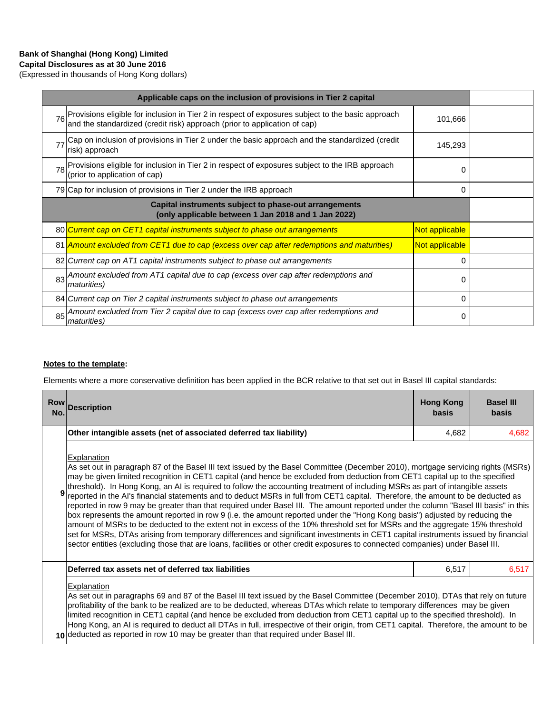(Expressed in thousands of Hong Kong dollars)

| Applicable caps on the inclusion of provisions in Tier 2 capital                                             |                                                                                                                                                                                |                |  |
|--------------------------------------------------------------------------------------------------------------|--------------------------------------------------------------------------------------------------------------------------------------------------------------------------------|----------------|--|
|                                                                                                              | 76 Provisions eligible for inclusion in Tier 2 in respect of exposures subject to the basic approach and the standardized (credit risk) approach (prior to application of cap) | 101,666        |  |
|                                                                                                              | Cap on inclusion of provisions in Tier 2 under the basic approach and the standardized (credit<br>risk) approach                                                               | 145,293        |  |
|                                                                                                              | Provisions eligible for inclusion in Tier 2 in respect of exposures subject to the IRB approach<br>(prior to application of cap)                                               | 0              |  |
|                                                                                                              | 79 Cap for inclusion of provisions in Tier 2 under the IRB approach                                                                                                            | 0              |  |
| Capital instruments subject to phase-out arrangements<br>(only applicable between 1 Jan 2018 and 1 Jan 2022) |                                                                                                                                                                                |                |  |
|                                                                                                              | 80 Current cap on CET1 capital instruments subject to phase out arrangements                                                                                                   | Not applicable |  |
|                                                                                                              | 81 Amount excluded from CET1 due to cap (excess over cap after redemptions and maturities)                                                                                     | Not applicable |  |
|                                                                                                              | 82 Current cap on AT1 capital instruments subject to phase out arrangements                                                                                                    | 0              |  |
| 83                                                                                                           | Amount excluded from AT1 capital due to cap (excess over cap after redemptions and<br><i>maturities</i> )                                                                      | $\Omega$       |  |
|                                                                                                              | 84 Current cap on Tier 2 capital instruments subject to phase out arrangements                                                                                                 | 0              |  |
| 85                                                                                                           | Amount excluded from Tier 2 capital due to cap (excess over cap after redemptions and<br><i>maturities</i> )                                                                   | 0              |  |

### **Notes to the template:**

Elements where a more conservative definition has been applied in the BCR relative to that set out in Basel III capital standards:

| <b>Row</b><br>No. | Description                                                                                                                                                                                                                                                                                                                                                                                                                                                                                                                                                                                                                                                                                                                                                                                                                                                                                                                                                                                                                                                                                                                                                                                                                     | <b>Hong Kong</b><br>basis | <b>Basel III</b><br>basis |  |
|-------------------|---------------------------------------------------------------------------------------------------------------------------------------------------------------------------------------------------------------------------------------------------------------------------------------------------------------------------------------------------------------------------------------------------------------------------------------------------------------------------------------------------------------------------------------------------------------------------------------------------------------------------------------------------------------------------------------------------------------------------------------------------------------------------------------------------------------------------------------------------------------------------------------------------------------------------------------------------------------------------------------------------------------------------------------------------------------------------------------------------------------------------------------------------------------------------------------------------------------------------------|---------------------------|---------------------------|--|
|                   | Other intangible assets (net of associated deferred tax liability)                                                                                                                                                                                                                                                                                                                                                                                                                                                                                                                                                                                                                                                                                                                                                                                                                                                                                                                                                                                                                                                                                                                                                              | 4,682                     | 4,682                     |  |
|                   | Explanation<br>As set out in paragraph 87 of the Basel III text issued by the Basel Committee (December 2010), mortgage servicing rights (MSRs)<br>may be given limited recognition in CET1 capital (and hence be excluded from deduction from CET1 capital up to the specified<br>threshold). In Hong Kong, an AI is required to follow the accounting treatment of including MSRs as part of intangible assets<br>reported in the AI's financial statements and to deduct MSRs in full from CET1 capital. Therefore, the amount to be deducted as<br>reported in row 9 may be greater than that required under Basel III. The amount reported under the column "Basel III basis" in this<br>box represents the amount reported in row 9 (i.e. the amount reported under the "Hong Kong basis") adjusted by reducing the<br>amount of MSRs to be deducted to the extent not in excess of the 10% threshold set for MSRs and the aggregate 15% threshold<br>set for MSRs, DTAs arising from temporary differences and significant investments in CET1 capital instruments issued by financial<br>sector entities (excluding those that are loans, facilities or other credit exposures to connected companies) under Basel III. |                           |                           |  |
|                   | Deferred tax assets net of deferred tax liabilities                                                                                                                                                                                                                                                                                                                                                                                                                                                                                                                                                                                                                                                                                                                                                                                                                                                                                                                                                                                                                                                                                                                                                                             | 6,517                     | 6,517                     |  |
|                   | Explanation<br>As set out in paragraphs 69 and 87 of the Basel III text issued by the Basel Committee (December 2010), DTAs that rely on future<br>profitability of the bank to be realized are to be deducted, whereas DTAs which relate to temporary differences may be given<br>limited recognition in CET1 capital (and hence be excluded from deduction from CET1 capital up to the specified threshold). In<br>Hong Kong, an AI is required to deduct all DTAs in full, irrespective of their origin, from CET1 capital. Therefore, the amount to be<br>10 deducted as reported in row 10 may be greater than that required under Basel III.                                                                                                                                                                                                                                                                                                                                                                                                                                                                                                                                                                              |                           |                           |  |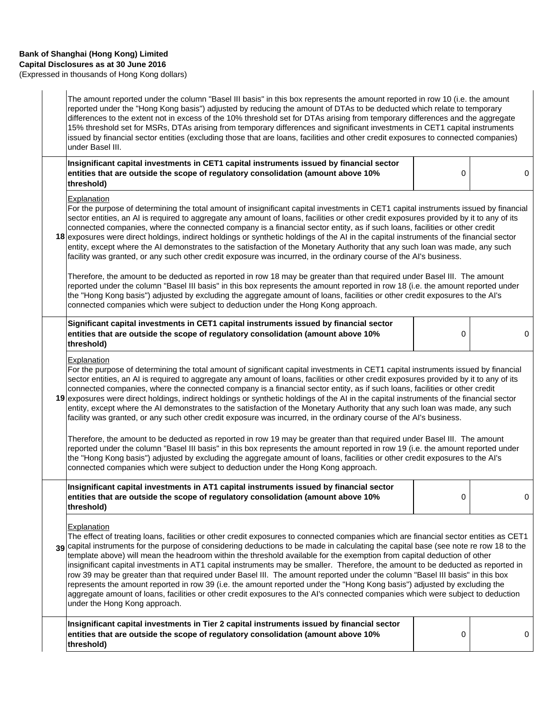(Expressed in thousands of Hong Kong dollars)

| The amount reported under the column "Basel III basis" in this box represents the amount reported in row 10 (i.e. the amount<br>reported under the "Hong Kong basis") adjusted by reducing the amount of DTAs to be deducted which relate to temporary<br>differences to the extent not in excess of the 10% threshold set for DTAs arising from temporary differences and the aggregate<br>15% threshold set for MSRs, DTAs arising from temporary differences and significant investments in CET1 capital instruments<br>issued by financial sector entities (excluding those that are loans, facilities and other credit exposures to connected companies)<br>under Basel III.                                                                                                                                                                                                                                                                                                              |   |   |  |
|------------------------------------------------------------------------------------------------------------------------------------------------------------------------------------------------------------------------------------------------------------------------------------------------------------------------------------------------------------------------------------------------------------------------------------------------------------------------------------------------------------------------------------------------------------------------------------------------------------------------------------------------------------------------------------------------------------------------------------------------------------------------------------------------------------------------------------------------------------------------------------------------------------------------------------------------------------------------------------------------|---|---|--|
| Insignificant capital investments in CET1 capital instruments issued by financial sector<br>entities that are outside the scope of regulatory consolidation (amount above 10%<br>threshold)                                                                                                                                                                                                                                                                                                                                                                                                                                                                                                                                                                                                                                                                                                                                                                                                    | 0 | 0 |  |
| Explanation<br>For the purpose of determining the total amount of insignificant capital investments in CET1 capital instruments issued by financial<br>sector entities, an AI is required to aggregate any amount of loans, facilities or other credit exposures provided by it to any of its<br>connected companies, where the connected company is a financial sector entity, as if such loans, facilities or other credit<br>18 exposures were direct holdings, indirect holdings or synthetic holdings of the AI in the capital instruments of the financial sector<br>entity, except where the AI demonstrates to the satisfaction of the Monetary Authority that any such loan was made, any such<br>facility was granted, or any such other credit exposure was incurred, in the ordinary course of the AI's business.                                                                                                                                                                  |   |   |  |
| Therefore, the amount to be deducted as reported in row 18 may be greater than that required under Basel III. The amount<br>reported under the column "Basel III basis" in this box represents the amount reported in row 18 (i.e. the amount reported under<br>the "Hong Kong basis") adjusted by excluding the aggregate amount of loans, facilities or other credit exposures to the AI's<br>connected companies which were subject to deduction under the Hong Kong approach.                                                                                                                                                                                                                                                                                                                                                                                                                                                                                                              |   |   |  |
| Significant capital investments in CET1 capital instruments issued by financial sector<br>entities that are outside the scope of regulatory consolidation (amount above 10%<br>threshold)                                                                                                                                                                                                                                                                                                                                                                                                                                                                                                                                                                                                                                                                                                                                                                                                      | 0 | 0 |  |
| Explanation<br>For the purpose of determining the total amount of significant capital investments in CET1 capital instruments issued by financial<br>sector entities, an AI is required to aggregate any amount of loans, facilities or other credit exposures provided by it to any of its<br>connected companies, where the connected company is a financial sector entity, as if such loans, facilities or other credit<br>19 exposures were direct holdings, indirect holdings or synthetic holdings of the AI in the capital instruments of the financial sector<br>entity, except where the AI demonstrates to the satisfaction of the Monetary Authority that any such loan was made, any such<br>facility was granted, or any such other credit exposure was incurred, in the ordinary course of the AI's business.                                                                                                                                                                    |   |   |  |
| Therefore, the amount to be deducted as reported in row 19 may be greater than that required under Basel III. The amount<br>reported under the column "Basel III basis" in this box represents the amount reported in row 19 (i.e. the amount reported under<br>the "Hong Kong basis") adjusted by excluding the aggregate amount of loans, facilities or other credit exposures to the AI's<br>connected companies which were subject to deduction under the Hong Kong approach.                                                                                                                                                                                                                                                                                                                                                                                                                                                                                                              |   |   |  |
| Insignificant capital investments in AT1 capital instruments issued by financial sector<br>entities that are outside the scope of regulatory consolidation (amount above 10%<br>threshold)                                                                                                                                                                                                                                                                                                                                                                                                                                                                                                                                                                                                                                                                                                                                                                                                     | 0 | 0 |  |
| Explanation<br>The effect of treating loans, facilities or other credit exposures to connected companies which are financial sector entities as CET1<br>39 capital instruments for the purpose of considering deductions to be made in calculating the capital base (see note re row 18 to the<br>template above) will mean the headroom within the threshold available for the exemption from capital deduction of other<br>insignificant capital investments in AT1 capital instruments may be smaller. Therefore, the amount to be deducted as reported in<br>row 39 may be greater than that required under Basel III. The amount reported under the column "Basel III basis" in this box<br>represents the amount reported in row 39 (i.e. the amount reported under the "Hong Kong basis") adjusted by excluding the<br>aggregate amount of loans, facilities or other credit exposures to the AI's connected companies which were subject to deduction<br>under the Hong Kong approach. |   |   |  |
| Insignificant capital investments in Tier 2 capital instruments issued by financial sector<br>entities that are outside the scope of regulatory consolidation (amount above 10%<br>threshold)                                                                                                                                                                                                                                                                                                                                                                                                                                                                                                                                                                                                                                                                                                                                                                                                  | 0 | 0 |  |